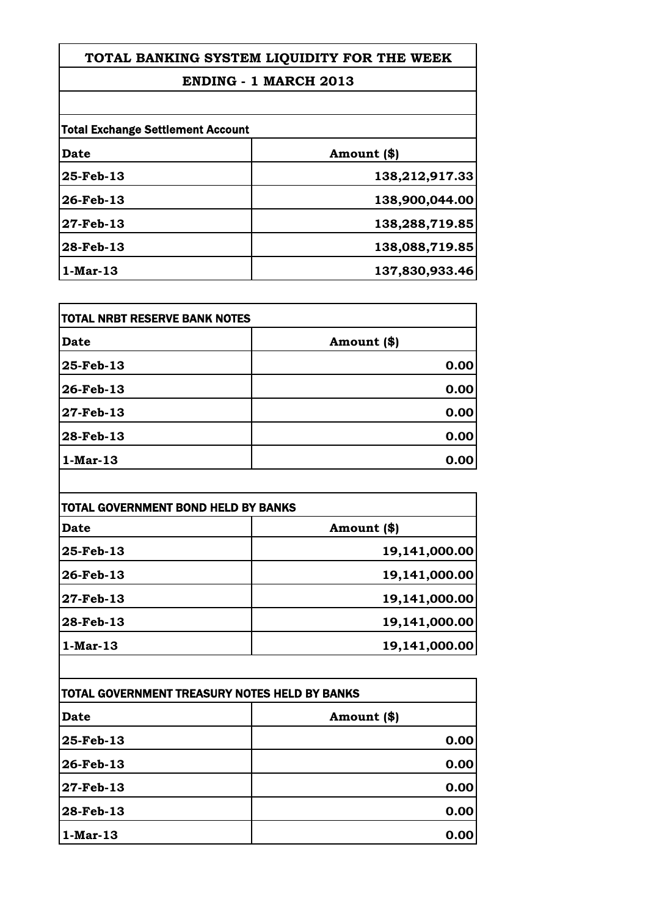### **ENDING - 1 MARCH 2013**

| <b>Total Exchange Settlement Account</b> |                |
|------------------------------------------|----------------|
| Date                                     | Amount (\$)    |
| 25-Feb-13                                | 138,212,917.33 |
| $26$ -Feb-13                             | 138,900,044.00 |
| 27-Feb-13                                | 138,288,719.85 |
| 28-Feb-13                                | 138,088,719.85 |
| $1-Mar-13$                               | 137,830,933.46 |

| TOTAL NRBT RESERVE BANK NOTES |             |
|-------------------------------|-------------|
| Date                          | Amount (\$) |
| 25-Feb-13                     | 0.00        |
| 26-Feb-13                     | 0.00        |
| $27$ -Feb-13                  | 0.00        |
| 28-Feb-13                     | 0.00        |
| $1-Mar-13$                    | 0.00        |

| <b>TOTAL GOVERNMENT BOND HELD BY BANKS</b> |               |
|--------------------------------------------|---------------|
| Date                                       | Amount (\$)   |
| 25-Feb-13                                  | 19,141,000.00 |
| 26-Feb-13                                  | 19,141,000.00 |
| 27-Feb-13                                  | 19,141,000.00 |
| 28-Feb-13                                  | 19,141,000.00 |
| $1-Mar-13$                                 | 19,141,000.00 |

| TOTAL GOVERNMENT TREASURY NOTES HELD BY BANKS |             |
|-----------------------------------------------|-------------|
| Date                                          | Amount (\$) |
| 25-Feb-13                                     | 0.00        |
| 26-Feb-13                                     | 0.00        |
| 27-Feb-13                                     | 0.00        |
| 28-Feb-13                                     | 0.00        |
| $1-Mar-13$                                    | 0.00        |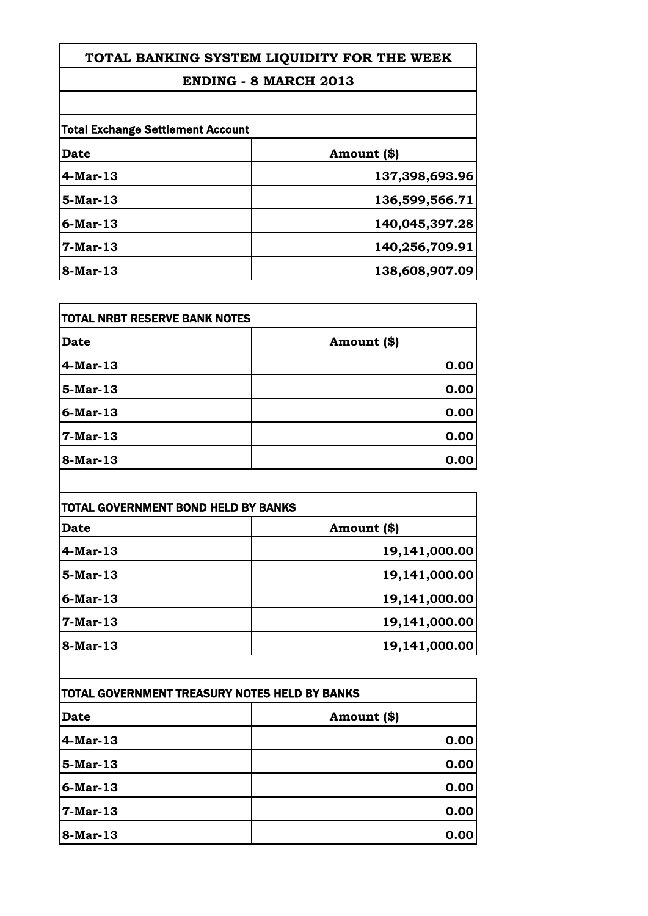### **ENDING - 8 MARCH 2013**

| <b>Total Exchange Settlement Account</b> |                |
|------------------------------------------|----------------|
| Date                                     | Amount (\$)    |
| $4$ -Mar-13                              | 137,398,693.96 |
| $5-Mar-13$                               | 136,599,566.71 |
| $6$ -Mar-13                              | 140,045,397.28 |
| $7-Mar-13$                               | 140,256,709.91 |
| 8-Mar-13                                 | 138,608,907.09 |

| <b>TOTAL NRBT RESERVE BANK NOTES</b> |             |
|--------------------------------------|-------------|
| Date                                 | Amount (\$) |
| $4-Mar-13$                           | 0.00        |
| $5$ -Mar-13                          | 0.00        |
| $6$ -Mar-13                          | 0.00        |
| $7-Mar-13$                           | 0.00        |
| 8-Mar-13                             | 0.00        |

| Date        | Amount (\$)   |
|-------------|---------------|
|             |               |
| $4-Mar-13$  | 19,141,000.00 |
| 5-Mar-13    | 19,141,000.00 |
| $6$ -Mar-13 | 19,141,000.00 |
| 7-Mar-13    | 19,141,000.00 |
| 8-Mar-13    | 19,141,000.00 |

| TOTAL GOVERNMENT TREASURY NOTES HELD BY BANKS |             |
|-----------------------------------------------|-------------|
| Date                                          | Amount (\$) |
| $4-Mar-13$                                    | 0.00        |
| $5-Mar-13$                                    | 0.00        |
| $6$ -Mar-13                                   | 0.00        |
| 7-Mar-13                                      | 0.00        |
| 8-Mar-13                                      | 0.00        |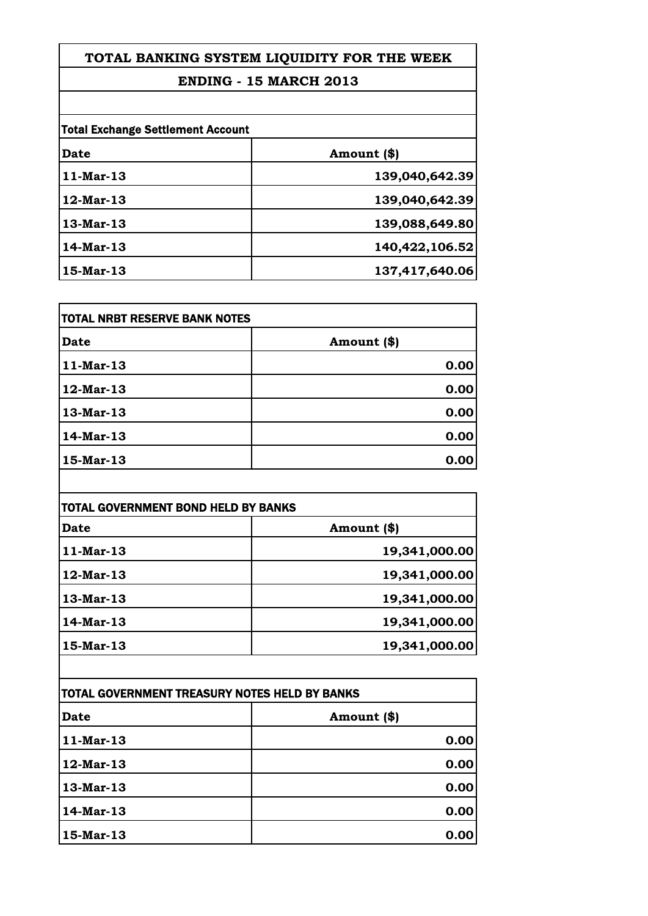# **ENDING - 15 MARCH 2013**

| <b>Total Exchange Settlement Account</b> |                |
|------------------------------------------|----------------|
| Date                                     | Amount (\$)    |
| $11$ -Mar-13                             | 139,040,642.39 |
| $12$ -Mar-13                             | 139,040,642.39 |
| $13$ -Mar-13                             | 139,088,649.80 |
| 14-Mar-13                                | 140,422,106.52 |
| 15-Mar-13                                | 137,417,640.06 |

| TOTAL NRBT RESERVE BANK NOTES |             |
|-------------------------------|-------------|
| Date                          | Amount (\$) |
| $11-Mar-13$                   | 0.00        |
| 12-Mar-13                     | 0.00        |
| 13-Mar-13                     | 0.00        |
| 14-Mar-13                     | 0.00        |
| 15-Mar-13                     | 0.00        |

| <b>TOTAL GOVERNMENT BOND HELD BY BANKS</b> |               |
|--------------------------------------------|---------------|
| Date                                       | Amount (\$)   |
| $11$ -Mar-13                               | 19,341,000.00 |
| $12$ -Mar-13                               | 19,341,000.00 |
| 13-Mar-13                                  | 19,341,000.00 |
| 14-Mar-13                                  | 19,341,000.00 |
| 15-Mar-13                                  | 19,341,000.00 |

| TOTAL GOVERNMENT TREASURY NOTES HELD BY BANKS |             |
|-----------------------------------------------|-------------|
| Date                                          | Amount (\$) |
| $11-Mar-13$                                   | 0.00        |
| 12-Mar-13                                     | 0.00        |
| 13-Mar-13                                     | 0.00        |
| 14-Mar-13                                     | 0.00        |
| 15-Mar-13                                     | 0.00        |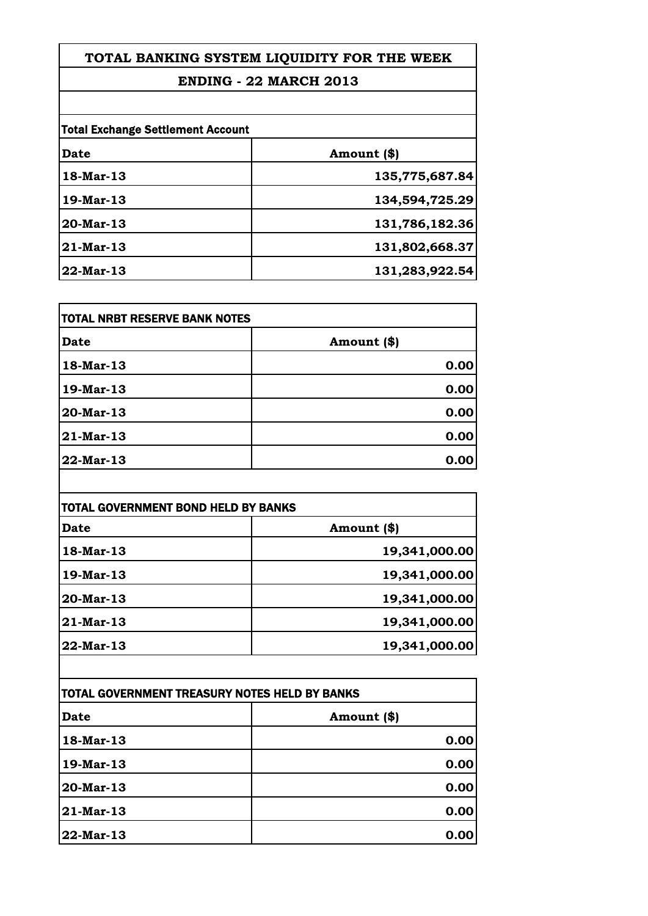### **ENDING - 22 MARCH 2013**

| <b>Total Exchange Settlement Account</b> |                |
|------------------------------------------|----------------|
| Date                                     | Amount (\$)    |
| 18-Mar-13                                | 135,775,687.84 |
| $19$ -Mar-13                             | 134,594,725.29 |
| $20$ -Mar-13                             | 131,786,182.36 |
| $21$ -Mar-13                             | 131,802,668.37 |
| $22$ -Mar-13                             | 131,283,922.54 |

| TOTAL NRBT RESERVE BANK NOTES |             |
|-------------------------------|-------------|
| Date                          | Amount (\$) |
| 18-Mar-13                     | 0.00        |
| 19-Mar-13                     | 0.00        |
| 20-Mar-13                     | 0.00        |
| 21-Mar-13                     | 0.00        |
| 22-Mar-13                     | 0.00        |

| TOTAL GOVERNMENT BOND HELD BY BANKS |               |
|-------------------------------------|---------------|
| Date                                | Amount (\$)   |
| 18-Mar-13                           | 19,341,000.00 |
| 19-Mar-13                           | 19,341,000.00 |
| 20-Mar-13                           | 19,341,000.00 |
| 21-Mar-13                           | 19,341,000.00 |
| 22-Mar-13                           | 19,341,000.00 |

| TOTAL GOVERNMENT TREASURY NOTES HELD BY BANKS |             |
|-----------------------------------------------|-------------|
| Date                                          | Amount (\$) |
| 18-Mar-13                                     | 0.00        |
| 19-Mar-13                                     | 0.00        |
| 20-Mar-13                                     | 0.00        |
| 21-Mar-13                                     | 0.00        |
| 22-Mar-13                                     | 0.00        |